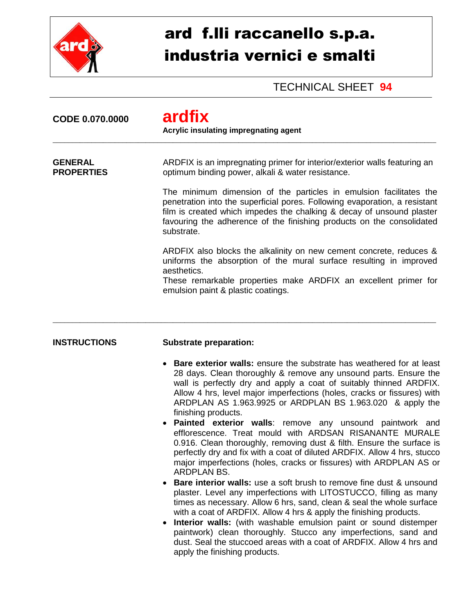

## ard f.lli raccanello s.p.a. industria vernici e smalti

TECHNICAL SHEET **94**

| CODE 0.070.0000                     | ardfix<br>Acrylic insulating impregnating agent                                                                                                                                                                                                                                                                  |  |
|-------------------------------------|------------------------------------------------------------------------------------------------------------------------------------------------------------------------------------------------------------------------------------------------------------------------------------------------------------------|--|
| <b>GENERAL</b><br><b>PROPERTIES</b> | ARDFIX is an impregnating primer for interior/exterior walls featuring an<br>optimum binding power, alkali & water resistance.                                                                                                                                                                                   |  |
|                                     | The minimum dimension of the particles in emulsion facilitates the<br>penetration into the superficial pores. Following evaporation, a resistant<br>film is created which impedes the chalking & decay of unsound plaster<br>favouring the adherence of the finishing products on the consolidated<br>substrate. |  |
|                                     | ARDFIX also blocks the alkalinity on new cement concrete, reduces &<br>uniforms the absorption of the mural surface resulting in improved<br>aesthetics.<br>These remarkable properties make ARDFIX an excellent primer for<br>emulsion paint & plastic coatings.                                                |  |
| <b>INSTRUCTIONS</b>                 | <b>Substrate preparation:</b>                                                                                                                                                                                                                                                                                    |  |
|                                     | <b>Bare exterior walls:</b> ensure the substrate has weathered for at least<br>$\bullet$<br>28 days. Clean thoroughly & remove any unsound parts. Ensure the<br>wall is perfectly dry and apply a coat of suitably thinned ARDFIX.<br>Allow 4 hrs, level major imperfections (holes, cracks or fissures) with    |  |

finishing products. **Painted exterior walls**: remove any unsound paintwork and efflorescence. Treat mould with ARDSAN RISANANTE MURALE 0.916. Clean thoroughly, removing dust & filth. Ensure the surface is perfectly dry and fix with a coat of diluted ARDFIX. Allow 4 hrs, stucco major imperfections (holes, cracks or fissures) with ARDPLAN AS or ARDPLAN BS.

ARDPLAN AS 1.963.9925 or ARDPLAN BS 1.963.020 & apply the

- **Bare interior walls:** use a soft brush to remove fine dust & unsound plaster. Level any imperfections with LITOSTUCCO, filling as many times as necessary. Allow 6 hrs, sand, clean & seal the whole surface with a coat of ARDFIX. Allow 4 hrs & apply the finishing products.
- **Interior walls:** (with washable emulsion paint or sound distemper paintwork) clean thoroughly. Stucco any imperfections, sand and dust. Seal the stuccoed areas with a coat of ARDFIX. Allow 4 hrs and apply the finishing products.